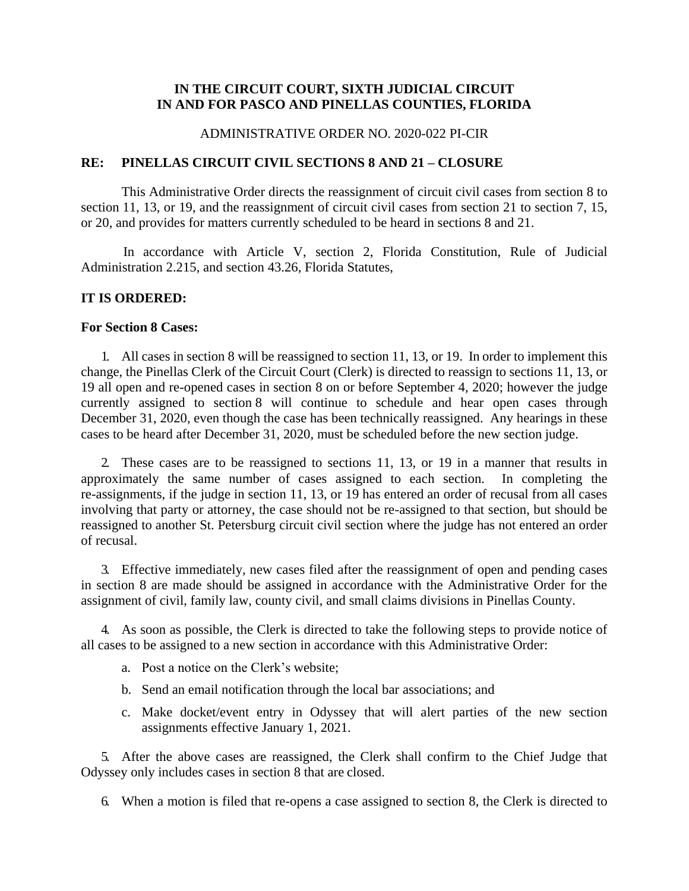## **IN THE CIRCUIT COURT, SIXTH JUDICIAL CIRCUIT IN AND FOR PASCO AND PINELLAS COUNTIES, FLORIDA**

#### ADMINISTRATIVE ORDER NO. 2020-022 PI-CIR

### **RE: PINELLAS CIRCUIT CIVIL SECTIONS 8 AND 21 – CLOSURE**

This Administrative Order directs the reassignment of circuit civil cases from section 8 to section 11, 13, or 19, and the reassignment of circuit civil cases from section 21 to section 7, 15, or 20, and provides for matters currently scheduled to be heard in sections 8 and 21.

In accordance with Article V, section 2, Florida Constitution, Rule of Judicial Administration 2.215, and section 43.26, Florida Statutes,

## **IT IS ORDERED:**

#### **For Section 8 Cases:**

1. All cases in section 8 will be reassigned to section 11, 13, or 19. In order to implement this change, the Pinellas Clerk of the Circuit Court (Clerk) is directed to reassign to sections 11, 13, or 19 all open and re-opened cases in section 8 on or before September 4, 2020; however the judge currently assigned to section 8 will continue to schedule and hear open cases through December 31, 2020, even though the case has been technically reassigned. Any hearings in these cases to be heard after December 31, 2020, must be scheduled before the new section judge.

2. These cases are to be reassigned to sections 11, 13, or 19 in a manner that results in approximately the same number of cases assigned to each section. In completing the re-assignments, if the judge in section 11, 13, or 19 has entered an order of recusal from all cases involving that party or attorney, the case should not be re-assigned to that section, but should be reassigned to another St. Petersburg circuit civil section where the judge has not entered an order of recusal.

3. Effective immediately, new cases filed after the reassignment of open and pending cases in section 8 are made should be assigned in accordance with the Administrative Order for the assignment of civil, family law, county civil, and small claims divisions in Pinellas County.

4. As soon as possible, the Clerk is directed to take the following steps to provide notice of all cases to be assigned to a new section in accordance with this Administrative Order:

- a. Post a notice on the Clerk's website;
- b. Send an email notification through the local bar associations; and
- c. Make docket/event entry in Odyssey that will alert parties of the new section assignments effective January 1, 2021.

5. After the above cases are reassigned, the Clerk shall confirm to the Chief Judge that Odyssey only includes cases in section 8 that are closed.

6. When a motion is filed that re-opens a case assigned to section 8, the Clerk is directed to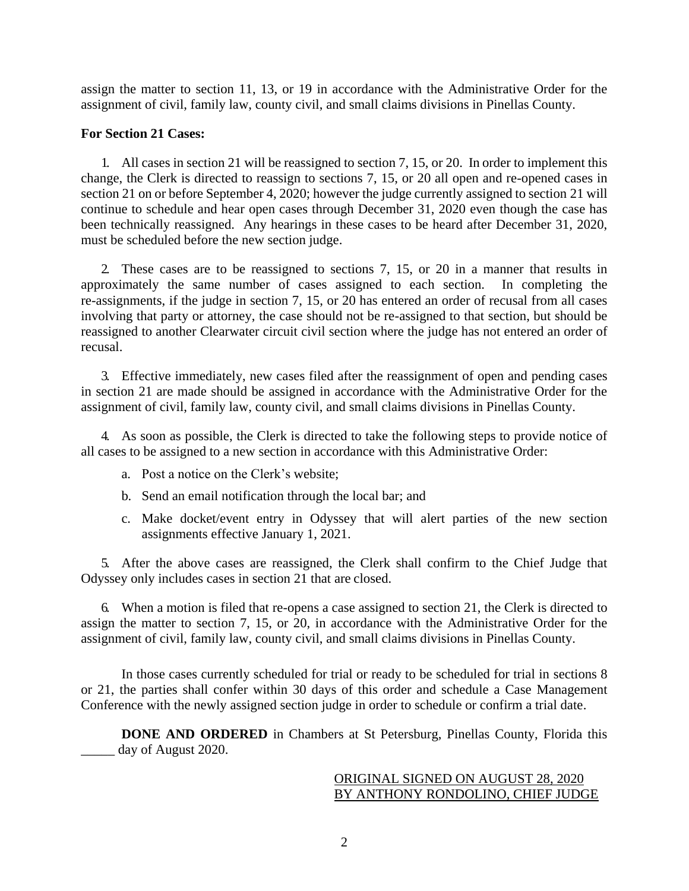assign the matter to section 11, 13, or 19 in accordance with the Administrative Order for the assignment of civil, family law, county civil, and small claims divisions in Pinellas County.

## **For Section 21 Cases:**

1. All cases in section 21 will be reassigned to section 7, 15, or 20. In order to implement this change, the Clerk is directed to reassign to sections 7, 15, or 20 all open and re-opened cases in section 21 on or before September 4, 2020; however the judge currently assigned to section 21 will continue to schedule and hear open cases through December 31, 2020 even though the case has been technically reassigned. Any hearings in these cases to be heard after December 31, 2020, must be scheduled before the new section judge.

2. These cases are to be reassigned to sections 7, 15, or 20 in a manner that results in approximately the same number of cases assigned to each section. In completing the re-assignments, if the judge in section 7, 15, or 20 has entered an order of recusal from all cases involving that party or attorney, the case should not be re-assigned to that section, but should be reassigned to another Clearwater circuit civil section where the judge has not entered an order of recusal.

3. Effective immediately, new cases filed after the reassignment of open and pending cases in section 21 are made should be assigned in accordance with the Administrative Order for the assignment of civil, family law, county civil, and small claims divisions in Pinellas County.

4. As soon as possible, the Clerk is directed to take the following steps to provide notice of all cases to be assigned to a new section in accordance with this Administrative Order:

- a. Post a notice on the Clerk's website;
- b. Send an email notification through the local bar; and
- c. Make docket/event entry in Odyssey that will alert parties of the new section assignments effective January 1, 2021.

5. After the above cases are reassigned, the Clerk shall confirm to the Chief Judge that Odyssey only includes cases in section 21 that are closed.

6. When a motion is filed that re-opens a case assigned to section 21, the Clerk is directed to assign the matter to section 7, 15, or 20, in accordance with the Administrative Order for the assignment of civil, family law, county civil, and small claims divisions in Pinellas County.

In those cases currently scheduled for trial or ready to be scheduled for trial in sections 8 or 21, the parties shall confer within 30 days of this order and schedule a Case Management Conference with the newly assigned section judge in order to schedule or confirm a trial date.

**DONE AND ORDERED** in Chambers at St Petersburg, Pinellas County, Florida this day of August 2020.

# ORIGINAL SIGNED ON AUGUST 28, 2020 BY ANTHONY RONDOLINO, CHIEF JUDGE